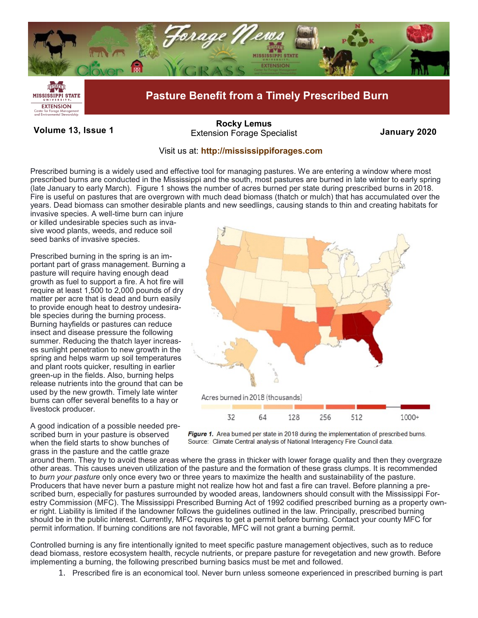

**Volume 13, Issue 1 January 2020** Extension Forage Specialist **[Rocky Lemus](mailto:RLemus@ext.msstate.edu?subject=Forage%20News:%20Janaury%202011)**

## Visit us at: **<http://mississippiforages.com>**

Prescribed burning is a widely used and effective tool for managing pastures. We are entering a window where most prescribed burns are conducted in the Mississippi and the south, most pastures are burned in late winter to early spring (late January to early March). Figure 1 shows the number of acres burned per state during prescribed burns in 2018. Fire is useful on pastures that are overgrown with much dead biomass (thatch or mulch) that has accumulated over the years. Dead biomass can smother desirable plants and new seedlings, causing stands to thin and creating habitats for

invasive species. A well-time burn can injure or killed undesirable species such as invasive wood plants, weeds, and reduce soil seed banks of invasive species.

Prescribed burning in the spring is an important part of grass management. Burning a pasture will require having enough dead growth as fuel to support a fire. A hot fire will require at least 1,500 to 2,000 pounds of dry matter per acre that is dead and burn easily to provide enough heat to destroy undesirable species during the burning process. Burning hayfields or pastures can reduce insect and disease pressure the following summer. Reducing the thatch layer increases sunlight penetration to new growth in the spring and helps warm up soil temperatures and plant roots quicker, resulting in earlier green-up in the fields. Also, burning helps release nutrients into the ground that can be used by the new growth. Timely late winter burns can offer several benefits to a hay or livestock producer.

A good indication of a possible needed prescribed burn in your pasture is observed when the field starts to show bunches of grass in the pasture and the cattle graze





around them. They try to avoid these areas where the grass in thicker with lower forage quality and then they overgraze other areas. This causes uneven utilization of the pasture and the formation of these grass clumps. It is recommended to *burn your pasture* only once every two or three years to maximize the health and sustainability of the pasture. Producers that have never burn a pasture might not realize how hot and fast a fire can travel. Before planning a prescribed burn, especially for pastures surrounded by wooded areas, landowners should consult with the Mississippi Forestry Commission (MFC). The Mississippi Prescribed Burning Act of 1992 codified prescribed burning as a property owner right. Liability is limited if the landowner follows the guidelines outlined in the law. Principally, prescribed burning should be in the public interest. Currently, MFC requires to get a permit before burning. Contact your county MFC for permit information. If burning conditions are not favorable, MFC will not grant a burning permit.

Controlled burning is any fire intentionally ignited to meet specific pasture management objectives, such as to reduce dead biomass, restore ecosystem health, recycle nutrients, or prepare pasture for revegetation and new growth. Before implementing a burning, the following prescribed burning basics must be met and followed.

1. Prescribed fire is an economical tool. Never burn unless someone experienced in prescribed burning is part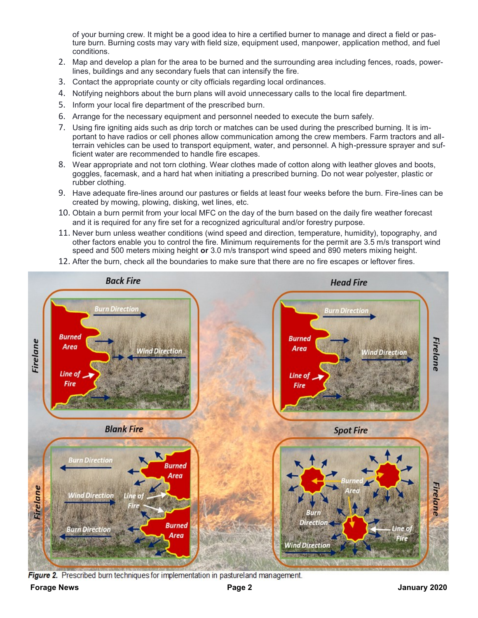of your burning crew. It might be a good idea to hire a certified burner to manage and direct a field or pasture burn. Burning costs may vary with field size, equipment used, manpower, application method, and fuel conditions.

- 2. Map and develop a plan for the area to be burned and the surrounding area including fences, roads, powerlines, buildings and any secondary fuels that can intensify the fire.
- 3. Contact the appropriate county or city officials regarding local ordinances.
- 4. Notifying neighbors about the burn plans will avoid unnecessary calls to the local fire department.
- 5. Inform your local fire department of the prescribed burn.
- 6. Arrange for the necessary equipment and personnel needed to execute the burn safely.
- 7. Using fire igniting aids such as drip torch or matches can be used during the prescribed burning. It is important to have radios or cell phones allow communication among the crew members. Farm tractors and allterrain vehicles can be used to transport equipment, water, and personnel. A high-pressure sprayer and sufficient water are recommended to handle fire escapes.
- 8. Wear appropriate and not torn clothing. Wear clothes made of cotton along with leather gloves and boots, goggles, facemask, and a hard hat when initiating a prescribed burning. Do not wear polyester, plastic or rubber clothing.
- 9. Have adequate fire-lines around our pastures or fields at least four weeks before the burn. Fire-lines can be created by mowing, plowing, disking, wet lines, etc.
- 10. Obtain a burn permit from your local MFC on the day of the burn based on the daily fire weather forecast and it is required for any fire set for a recognized agricultural and/or forestry purpose.
- 11. Never burn unless weather conditions (wind speed and direction, temperature, humidity), topography, and other factors enable you to control the fire. Minimum requirements for the permit are 3.5 m/s transport wind speed and 500 meters mixing height **or** 3.0 m/s transport wind speed and 890 meters mixing height.
- 12. After the burn, check all the boundaries to make sure that there are no fire escapes or leftover fires.



Figure 2. Prescribed burn techniques for implementation in pastureland management.